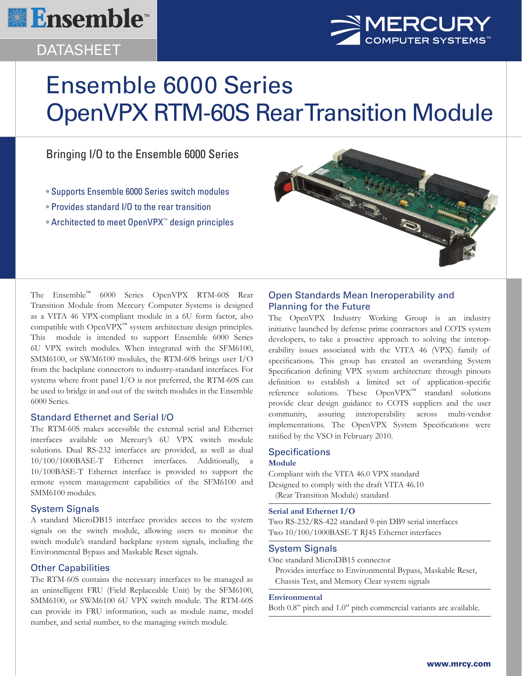

## DATASHEET



# Ensemble 6000 Series OpenVPX RTM-60S Rear Transition Module

### Bringing I/O to the Ensemble 6000 Series

- Supports Ensemble 6000 Series switch modules
- Provides standard I/O to the rear transition
- Architected to meet OpenVPX™ design principles



The Ensemble™ 6000 Series OpenVPX RTM-60S Rear Transition Module from Mercury Computer Systems is designed as a VITA 46 VPX-compliant module in a 6U form factor, also compatible with OpenVPX™ system architecture design principles. This module is intended to support Ensemble 6000 Series 6U VPX switch modules. When integrated with the SFM6100, SMM6100, or SWM6100 modules, the RTM-60S brings user I/O from the backplane connectors to industry-standard interfaces. For systems where front panel I/O is not preferred, the RTM-60S can be used to bridge in and out of the switch modules in the Ensemble 6000 Series.

#### Standard Ethernet and Serial I/O

The RTM-60S makes accessible the external serial and Ethernet interfaces available on Mercury's 6U VPX switch module solutions. Dual RS-232 interfaces are provided, as well as dual 10/100/1000BASE-T Ethernet interfaces. Additionally, a 10/100BASE-T Ethernet interface is provided to support the remote system management capabilities of the SFM6100 and SMM6100 modules.

#### System Signals

A standard MicroDB15 interface provides access to the system signals on the switch module, allowing users to monitor the switch module's standard backplane system signals, including the Environmental Bypass and Maskable Reset signals.

#### Other Capabilities

The RTM-60S contains the necessary interfaces to be managed as an unintelligent FRU (Field Replaceable Unit) by the SFM6100, SMM6100, or SWM6100 6U VPX switch module. The RTM-60S can provide its FRU information, such as module name, model number, and serial number, to the managing switch module.

#### Open Standards Mean Ineroperability and Planning for the Future

The OpenVPX Industry Working Group is an industry initiative launched by defense prime contractors and COTS system developers, to take a proactive approach to solving the interoperability issues associated with the VITA 46 (VPX) family of specifications. This group has created an overarching System Specification defining VPX system architecture through pinouts definition to establish a limited set of application-specific reference solutions. These OpenVPX™ standard solutions provide clear design guidance to COTS suppliers and the user community, assuring interoperability across multi-vendor implementations. The OpenVPX System Specifications were ratified by the VSO in February 2010.

#### **Specifications**

#### **Module**

Compliant with the VITA 46.0 VPX standard Designed to comply with the draft VITA 46.10 (Rear Transition Module) standard

#### **Serial and Ethernet I/O**

Two RS-232/RS-422 standard 9-pin DB9 serial interfaces Two 10/100/1000BASE-T RJ45 Ethernet interfaces

#### System Signals

One standard MicroDB15 connector

Provides interface to Environmental Bypass, Maskable Reset, Chassis Test, and Memory Clear system signals

#### **Environmental**

Both 0.8" pitch and 1.0" pitch commercial variants are available.